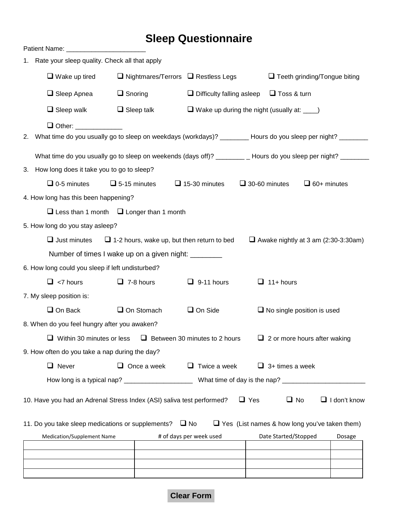## **Sleep Questionnaire**

|                                                | 1. Rate your sleep quality. Check all that apply                                                                       |                                                                        |                                                       |                                                                     |                      |                                                      |                    |                     |
|------------------------------------------------|------------------------------------------------------------------------------------------------------------------------|------------------------------------------------------------------------|-------------------------------------------------------|---------------------------------------------------------------------|----------------------|------------------------------------------------------|--------------------|---------------------|
|                                                |                                                                                                                        | $\Box$ Wake up tired<br>$\Box$ Nightmares/Terrors $\Box$ Restless Legs |                                                       |                                                                     |                      | $\Box$ Teeth grinding/Tongue biting                  |                    |                     |
|                                                | $\Box$ Sleep Apnea                                                                                                     | $\Box$ Snoring                                                         |                                                       | $\Box$ Difficulty falling asleep                                    |                      | $\Box$ Toss & turn                                   |                    |                     |
|                                                | $\Box$ Sleep walk                                                                                                      |                                                                        | $\Box$ Sleep talk                                     | $\Box$ Wake up during the night (usually at: $\rule{1em}{0.15mm}$ ) |                      |                                                      |                    |                     |
|                                                | Other: _____________                                                                                                   |                                                                        |                                                       |                                                                     |                      |                                                      |                    |                     |
| 2.                                             | What time do you usually go to sleep on weekdays (workdays)? ________ Hours do you sleep per night? ______             |                                                                        |                                                       |                                                                     |                      |                                                      |                    |                     |
|                                                | What time do you usually go to sleep on weekends (days off)? __________ Hours do you sleep per night? _______          |                                                                        |                                                       |                                                                     |                      |                                                      |                    |                     |
|                                                | 3. How long does it take you to go to sleep?                                                                           |                                                                        |                                                       |                                                                     |                      |                                                      |                    |                     |
|                                                | $\Box$ 0-5 minutes                                                                                                     | $\Box$ 5-15 minutes                                                    |                                                       | $\Box$ 15-30 minutes                                                | $\Box$ 30-60 minutes |                                                      | $\Box$ 60+ minutes |                     |
| 4. How long has this been happening?           |                                                                                                                        |                                                                        |                                                       |                                                                     |                      |                                                      |                    |                     |
|                                                |                                                                                                                        |                                                                        | $\Box$ Less than 1 month $\Box$ Longer than 1 month   |                                                                     |                      |                                                      |                    |                     |
|                                                | 5. How long do you stay asleep?                                                                                        |                                                                        |                                                       |                                                                     |                      |                                                      |                    |                     |
|                                                | $\Box$ Just minutes<br>$\Box$ 1-2 hours, wake up, but then return to bed<br>$\Box$ Awake nightly at 3 am (2:30-3:30am) |                                                                        |                                                       |                                                                     |                      |                                                      |                    |                     |
|                                                |                                                                                                                        |                                                                        | Number of times I wake up on a given night: _________ |                                                                     |                      |                                                      |                    |                     |
|                                                | 6. How long could you sleep if left undisturbed?                                                                       |                                                                        |                                                       |                                                                     |                      |                                                      |                    |                     |
|                                                | $\Box$ <7 hours                                                                                                        |                                                                        | $\Box$ 7-8 hours                                      | $\Box$ 9-11 hours                                                   |                      | $\Box$ 11+ hours                                     |                    |                     |
|                                                | 7. My sleep position is:                                                                                               |                                                                        |                                                       |                                                                     |                      |                                                      |                    |                     |
|                                                | $\Box$ On Back                                                                                                         |                                                                        | $\Box$ On Stomach                                     | $\Box$ On Side                                                      |                      | $\Box$ No single position is used                    |                    |                     |
| 8. When do you feel hungry after you awaken?   |                                                                                                                        |                                                                        |                                                       |                                                                     |                      |                                                      |                    |                     |
|                                                |                                                                                                                        | $\Box$ Within 30 minutes or less                                       |                                                       | $\Box$ Between 30 minutes to 2 hours                                |                      | $\Box$ 2 or more hours after waking                  |                    |                     |
| 9. How often do you take a nap during the day? |                                                                                                                        |                                                                        |                                                       |                                                                     |                      |                                                      |                    |                     |
|                                                | $\Box$ Never                                                                                                           |                                                                        | $\Box$ Once a week                                    | $\Box$ Twice a week                                                 |                      | $\Box$ 3+ times a week                               |                    |                     |
|                                                |                                                                                                                        |                                                                        |                                                       |                                                                     |                      |                                                      |                    |                     |
|                                                | 10. Have you had an Adrenal Stress Index (ASI) saliva test performed?                                                  |                                                                        |                                                       |                                                                     | $\Box$ Yes           | $\Box$ No                                            |                    | $\Box$ I don't know |
|                                                | 11. Do you take sleep medications or supplements? $\Box$ No                                                            |                                                                        |                                                       |                                                                     |                      | $\Box$ Yes (List names & how long you've taken them) |                    |                     |
| Medication/Supplement Name                     |                                                                                                                        |                                                                        |                                                       | # of days per week used                                             |                      | Date Started/Stopped                                 |                    | Dosage              |
|                                                |                                                                                                                        |                                                                        |                                                       |                                                                     |                      |                                                      |                    |                     |
|                                                |                                                                                                                        |                                                                        |                                                       |                                                                     |                      |                                                      |                    |                     |
|                                                |                                                                                                                        |                                                                        |                                                       |                                                                     |                      |                                                      |                    |                     |

**Clear Form**